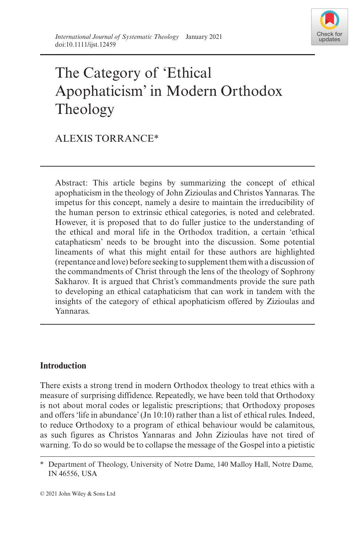

# The Category of 'Ethical Apophaticism' in Modern Orthodox Theology

## ALEXIS TORRANCE\*

Abstract: This article begins by summarizing the concept of ethical apophaticism in the theology of John Zizioulas and Christos Yannaras. The impetus for this concept, namely a desire to maintain the irreducibility of the human person to extrinsic ethical categories, is noted and celebrated. However, it is proposed that to do fuller justice to the understanding of the ethical and moral life in the Orthodox tradition, a certain 'ethical cataphaticsm' needs to be brought into the discussion. Some potential lineaments of what this might entail for these authors are highlighted (repentance and love) before seeking to supplement them with a discussion of the commandments of Christ through the lens of the theology of Sophrony Sakharov. It is argued that Christ's commandments provide the sure path to developing an ethical cataphaticism that can work in tandem with the insights of the category of ethical apophaticism offered by Zizioulas and Yannaras.

### **Introduction**

There exists a strong trend in modern Orthodox theology to treat ethics with a measure of surprising diffidence. Repeatedly, we have been told that Orthodoxy is not about moral codes or legalistic prescriptions; that Orthodoxy proposes and offers 'life in abundance' (Jn 10:10) rather than a list of ethical rules. Indeed, to reduce Orthodoxy to a program of ethical behaviour would be calamitous, as such figures as Christos Yannaras and John Zizioulas have not tired of warning. To do so would be to collapse the message of the Gospel into a pietistic

<sup>\*</sup> Department of Theology, University of Notre Dame, 140 Malloy Hall, Notre Dame, IN 46556, USA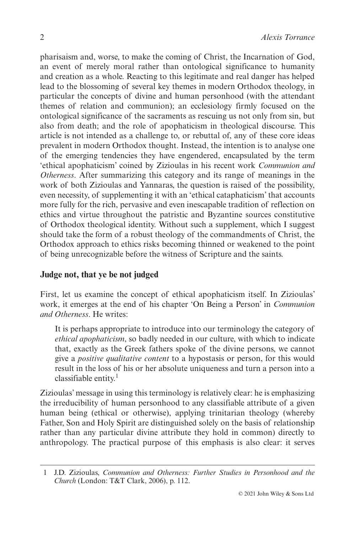pharisaism and, worse, to make the coming of Christ, the Incarnation of God, an event of merely moral rather than ontological significance to humanity and creation as a whole. Reacting to this legitimate and real danger has helped lead to the blossoming of several key themes in modern Orthodox theology, in particular the concepts of divine and human personhood (with the attendant themes of relation and communion); an ecclesiology firmly focused on the ontological significance of the sacraments as rescuing us not only from sin, but also from death; and the role of apophaticism in theological discourse. This article is not intended as a challenge to, or rebuttal of, any of these core ideas prevalent in modern Orthodox thought. Instead, the intention is to analyse one of the emerging tendencies they have engendered, encapsulated by the term 'ethical apophaticism' coined by Zizioulas in his recent work *Communion and Otherness*. After summarizing this category and its range of meanings in the work of both Zizioulas and Yannaras, the question is raised of the possibility, even necessity, of supplementing it with an 'ethical cataphaticism' that accounts more fully for the rich, pervasive and even inescapable tradition of reflection on ethics and virtue throughout the patristic and Byzantine sources constitutive of Orthodox theological identity. Without such a supplement, which I suggest should take the form of a robust theology of the commandments of Christ, the Orthodox approach to ethics risks becoming thinned or weakened to the point of being unrecognizable before the witness of Scripture and the saints.

#### **Judge not, that ye be not judged**

First, let us examine the concept of ethical apophaticism itself. In Zizioulas' work, it emerges at the end of his chapter 'On Being a Person' in *Communion and Otherness*. He writes:

It is perhaps appropriate to introduce into our terminology the category of *ethical apophaticism*, so badly needed in our culture, with which to indicate that, exactly as the Greek fathers spoke of the divine persons, we cannot give a *positive qualitative content* to a hypostasis or person, for this would result in the loss of his or her absolute uniqueness and turn a person into a classifiable entity. $\frac{1}{1}$ 

Zizioulas' message in using this terminology is relatively clear: he is emphasizing the irreducibility of human personhood to any classifiable attribute of a given human being (ethical or otherwise), applying trinitarian theology (whereby Father, Son and Holy Spirit are distinguished solely on the basis of relationship rather than any particular divine attribute they hold in common) directly to anthropology. The practical purpose of this emphasis is also clear: it serves

<sup>1</sup> J.D. Zizioulas, *Communion and Otherness: Further Studies in Personhood and the Church* (London: T&T Clark, 2006), p. 112.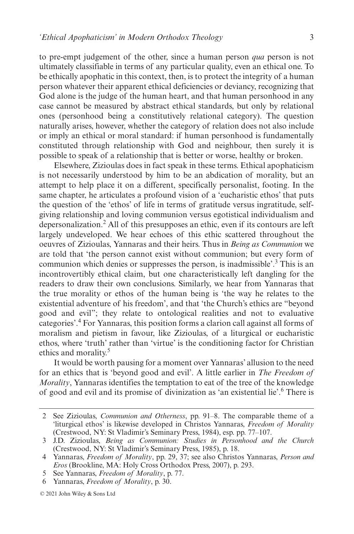to pre-empt judgement of the other, since a human person *qua* person is not ultimately classifiable in terms of any particular quality, even an ethical one. To be ethically apophatic in this context, then, is to protect the integrity of a human person whatever their apparent ethical deficiencies or deviancy, recognizing that God alone is the judge of the human heart, and that human personhood in any case cannot be measured by abstract ethical standards, but only by relational ones (personhood being a constitutively relational category). The question naturally arises, however, whether the category of relation does not also include or imply an ethical or moral standard: if human personhood is fundamentally constituted through relationship with God and neighbour, then surely it is possible to speak of a relationship that is better or worse, healthy or broken.

Elsewhere, Zizioulas does in fact speak in these terms. Ethical apophaticism is not necessarily understood by him to be an abdication of morality, but an attempt to help place it on a different, specifically personalist, footing. In the same chapter, he articulates a profound vision of a 'eucharistic ethos' that puts the question of the 'ethos' of life in terms of gratitude versus ingratitude, selfgiving relationship and loving communion versus egotistical individualism and depersonalization.2 All of this presupposes an ethic, even if its contours are left largely undeveloped. We hear echoes of this ethic scattered throughout the oeuvres of Zizioulas, Yannaras and their heirs. Thus in *Being as Communion* we are told that 'the person cannot exist without communion; but every form of communion which denies or suppresses the person, is inadmissible'.<sup>3</sup> This is an incontrovertibly ethical claim, but one characteristically left dangling for the readers to draw their own conclusions. Similarly, we hear from Yannaras that the true morality or ethos of the human being is 'the way he relates to the existential adventure of his freedom', and that 'the Church's ethics are "beyond good and evil"; they relate to ontological realities and not to evaluative categories'.<sup>4</sup> For Yannaras, this position forms a clarion call against all forms of moralism and pietism in favour, like Zizioulas, of a liturgical or eucharistic ethos, where 'truth' rather than 'virtue' is the conditioning factor for Christian ethics and morality.<sup>5</sup>

It would be worth pausing for a moment over Yannaras' allusion to the need for an ethics that is 'beyond good and evil'. A little earlier in *The Freedom of Morality*, Yannaras identifies the temptation to eat of the tree of the knowledge of good and evil and its promise of divinization as 'an existential lie'.6 There is

<sup>2</sup> See Zizioulas, *Communion and Otherness*, pp. 91–8. The comparable theme of a 'liturgical ethos' is likewise developed in Christos Yannaras, *Freedom of Morality* (Crestwood, NY: St Vladimir's Seminary Press, 1984), esp. pp. 77–107.

<sup>3</sup> J.D. Zizioulas, *Being as Communion: Studies in Personhood and the Church* (Crestwood, NY: St Vladimir's Seminary Press, 1985), p. 18.

<sup>4</sup> Yannaras, *Freedom of Morality*, pp. 29, 37; see also Christos Yannaras, *Person and Eros* (Brookline, MA: Holy Cross Orthodox Press, 2007), p. 293.

<sup>5</sup> See Yannaras, *Freedom of Morality*, p. 77.

<sup>6</sup> Yannaras, *Freedom of Morality*, p. 30.

<sup>© 2021</sup> John Wiley & Sons Ltd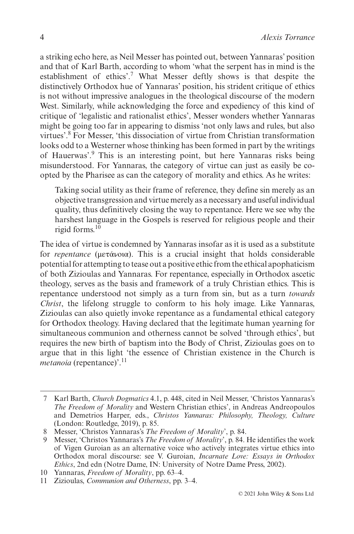a striking echo here, as Neil Messer has pointed out, between Yannaras' position and that of Karl Barth, according to whom 'what the serpent has in mind is the establishment of ethics'.<sup>7</sup> What Messer deftly shows is that despite the distinctively Orthodox hue of Yannaras' position, his strident critique of ethics is not without impressive analogues in the theological discourse of the modern West. Similarly, while acknowledging the force and expediency of this kind of critique of 'legalistic and rationalist ethics', Messer wonders whether Yannaras might be going too far in appearing to dismiss 'not only laws and rules, but also virtues'.<sup>8</sup> For Messer, 'this dissociation of virtue from Christian transformation looks odd to a Westerner whose thinking has been formed in part by the writings of Hauerwas'.<sup>9</sup> This is an interesting point, but here Yannaras risks being misunderstood. For Yannaras, the category of virtue can just as easily be coopted by the Pharisee as can the category of morality and ethics. As he writes:

Taking social utility as their frame of reference, they define sin merely as an objective transgression and virtue merely as a necessary and useful individual quality, thus definitively closing the way to repentance. Here we see why the harshest language in the Gospels is reserved for religious people and their rigid forms.<sup>10</sup>

The idea of virtue is condemned by Yannaras insofar as it is used as a substitute for *repentance* (μετάνοια). This is a crucial insight that holds considerable potential for attempting to tease out a positive ethic from the ethical apophaticism of both Zizioulas and Yannaras. For repentance, especially in Orthodox ascetic theology, serves as the basis and framework of a truly Christian ethics. This is repentance understood not simply as a turn from sin, but as a turn *towards Christ*, the lifelong struggle to conform to his holy image. Like Yannaras, Zizioulas can also quietly invoke repentance as a fundamental ethical category for Orthodox theology. Having declared that the legitimate human yearning for simultaneous communion and otherness cannot be solved 'through ethics', but requires the new birth of baptism into the Body of Christ, Zizioulas goes on to argue that in this light 'the essence of Christian existence in the Church is *metanoia* (repentance)'.<sup>11</sup>

<sup>7</sup> Karl Barth, *Church Dogmatics* 4.1, p. 448, cited in Neil Messer, 'Christos Yannaras's *The Freedom of Morality* and Western Christian ethics', in Andreas Andreopoulos and Demetrios Harper, eds., *Christos Yannaras: Philosophy, Theology, Culture* (London: Routledge, 2019), p. 85.

<sup>8</sup> Messer, 'Christos Yannaras's *The Freedom of Morality*', p. 84.

<sup>9</sup> Messer, 'Christos Yannaras's *The Freedom of Morality*', p. 84. He identifies the work of Vigen Guroian as an alternative voice who actively integrates virtue ethics into Orthodox moral discourse: see V. Guroian, *Incarnate Love: Essays in Orthodox Ethics*, 2nd edn (Notre Dame, IN: University of Notre Dame Press, 2002).

<sup>10</sup> Yannaras, *Freedom of Morality*, pp. 63–4.

<sup>11</sup> Zizioulas, *Communion and Otherness*, pp. 3–4.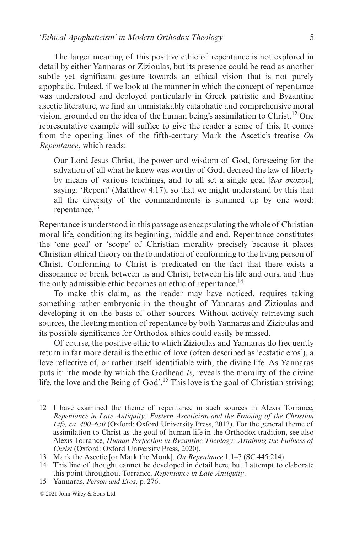The larger meaning of this positive ethic of repentance is not explored in detail by either Yannaras or Zizioulas, but its presence could be read as another subtle yet significant gesture towards an ethical vision that is not purely apophatic. Indeed, if we look at the manner in which the concept of repentance was understood and deployed particularly in Greek patristic and Byzantine ascetic literature, we find an unmistakably cataphatic and comprehensive moral vision, grounded on the idea of the human being's assimilation to Christ.<sup>12</sup> One representative example will suffice to give the reader a sense of this. It comes from the opening lines of the fifth-century Mark the Ascetic's treatise *On Repentance*, which reads:

Our Lord Jesus Christ, the power and wisdom of God, foreseeing for the salvation of all what he knew was worthy of God, decreed the law of liberty by means of various teachings, and to all set a single goal [*ἔνα σκοπὸν*], saying: 'Repent' (Matthew 4:17), so that we might understand by this that all the diversity of the commandments is summed up by one word: repentance.<sup>13</sup>

Repentance is understood in this passage as encapsulating the whole of Christian moral life, conditioning its beginning, middle and end. Repentance constitutes the 'one goal' or 'scope' of Christian morality precisely because it places Christian ethical theory on the foundation of conforming to the living person of Christ. Conforming to Christ is predicated on the fact that there exists a dissonance or break between us and Christ, between his life and ours, and thus the only admissible ethic becomes an ethic of repentance.<sup>14</sup>

To make this claim, as the reader may have noticed, requires taking something rather embryonic in the thought of Yannaras and Zizioulas and developing it on the basis of other sources. Without actively retrieving such sources, the fleeting mention of repentance by both Yannaras and Zizioulas and its possible significance for Orthodox ethics could easily be missed.

Of course, the positive ethic to which Zizioulas and Yannaras do frequently return in far more detail is the ethic of love (often described as 'ecstatic eros'), a love reflective of, or rather itself identifiable with, the divine life. As Yannaras puts it: 'the mode by which the Godhead *is*, reveals the morality of the divine life, the love and the Being of God'.15 This love is the goal of Christian striving:

<sup>12</sup> I have examined the theme of repentance in such sources in Alexis Torrance, *Repentance in Late Antiquity: Eastern Asceticism and the Framing of the Christian Life, ca. 400–650* (Oxford: Oxford University Press, 2013). For the general theme of assimilation to Christ as the goal of human life in the Orthodox tradition, see also Alexis Torrance, *Human Perfection in Byzantine Theology: Attaining the Fullness of Christ* (Oxford: Oxford University Press, 2020).

<sup>13</sup> Mark the Ascetic [or Mark the Monk], *On Repentance* 1.1–7 (SC 445:214).

<sup>14</sup> This line of thought cannot be developed in detail here, but I attempt to elaborate this point throughout Torrance, *Repentance in Late Antiquity*.

<sup>15</sup> Yannaras, *Person and Eros*, p. 276.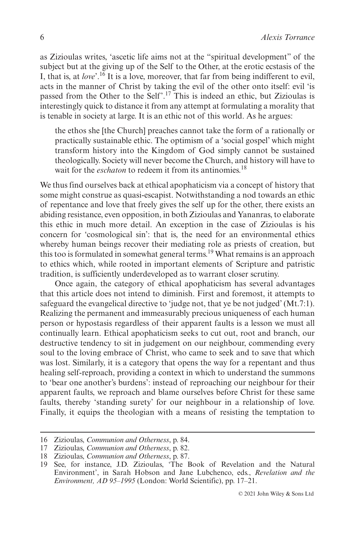as Zizioulas writes, 'ascetic life aims not at the "spiritual development" of the subject but at the giving up of the Self to the Other, at the erotic ecstasis of the I, that is, at *love*'.16 It is a love, moreover, that far from being indifferent to evil, acts in the manner of Christ by taking the evil of the other onto itself: evil 'is passed from the Other to the Self'.17 This is indeed an ethic, but Zizioulas is interestingly quick to distance it from any attempt at formulating a morality that is tenable in society at large. It is an ethic not of this world. As he argues:

the ethos she [the Church] preaches cannot take the form of a rationally or practically sustainable ethic. The optimism of a 'social gospel' which might transform history into the Kingdom of God simply cannot be sustained theologically. Society will never become the Church, and history will have to wait for the *eschaton* to redeem it from its antinomies.<sup>18</sup>

We thus find ourselves back at ethical apophaticism via a concept of history that some might construe as quasi-escapist. Notwithstanding a nod towards an ethic of repentance and love that freely gives the self up for the other, there exists an abiding resistance, even opposition, in both Zizioulas and Yananras, to elaborate this ethic in much more detail. An exception in the case of Zizioulas is his concern for 'cosmological sin': that is, the need for an environmental ethics whereby human beings recover their mediating role as priests of creation, but this too is formulated in somewhat general terms.19 What remains is an approach to ethics which, while rooted in important elements of Scripture and patristic tradition, is sufficiently underdeveloped as to warrant closer scrutiny.

Once again, the category of ethical apophaticism has several advantages that this article does not intend to diminish. First and foremost, it attempts to safeguard the evangelical directive to 'judge not, that ye be not judged' (Mt.7:1). Realizing the permanent and immeasurably precious uniqueness of each human person or hypostasis regardless of their apparent faults is a lesson we must all continually learn. Ethical apophaticism seeks to cut out, root and branch, our destructive tendency to sit in judgement on our neighbour, commending every soul to the loving embrace of Christ, who came to seek and to save that which was lost. Similarly, it is a category that opens the way for a repentant and thus healing self-reproach, providing a context in which to understand the summons to 'bear one another's burdens': instead of reproaching our neighbour for their apparent faults, we reproach and blame ourselves before Christ for these same faults, thereby 'standing surety' for our neighbour in a relationship of love. Finally, it equips the theologian with a means of resisting the temptation to

<sup>16</sup> Zizioulas, *Communion and Otherness*, p. 84.

<sup>17</sup> Zizioulas, *Communion and Otherness*, p. 82.

<sup>18</sup> Zizioulas, *Communion and Otherness*, p. 87.

<sup>19</sup> See, for instance, J.D. Zizioulas, 'The Book of Revelation and the Natural Environment', in Sarah Hobson and Jane Lubchenco, eds., *Revelation and the Environment, AD 95–1995* (London: World Scientific), pp. 17–21.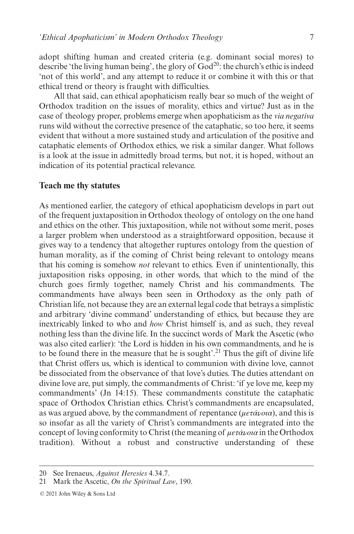adopt shifting human and created criteria (e.g. dominant social mores) to describe 'the living human being', the glory of  $God^{20}$ : the church's ethic is indeed 'not of this world', and any attempt to reduce it or combine it with this or that ethical trend or theory is fraught with difficulties.

All that said, can ethical apophaticism really bear so much of the weight of Orthodox tradition on the issues of morality, ethics and virtue? Just as in the case of theology proper, problems emerge when apophaticism as the *via negativa* runs wild without the corrective presence of the cataphatic, so too here, it seems evident that without a more sustained study and articulation of the positive and cataphatic elements of Orthodox ethics, we risk a similar danger. What follows is a look at the issue in admittedly broad terms, but not, it is hoped, without an indication of its potential practical relevance.

#### **Teach me thy statutes**

As mentioned earlier, the category of ethical apophaticism develops in part out of the frequent juxtaposition in Orthodox theology of ontology on the one hand and ethics on the other. This juxtaposition, while not without some merit, poses a larger problem when understood as a straightforward opposition, because it gives way to a tendency that altogether ruptures ontology from the question of human morality, as if the coming of Christ being relevant to ontology means that his coming is somehow *not* relevant to ethics. Even if unintentionally, this juxtaposition risks opposing, in other words, that which to the mind of the church goes firmly together, namely Christ and his commandments. The commandments have always been seen in Orthodoxy as the only path of Christian life, not because they are an external legal code that betrays a simplistic and arbitrary 'divine command' understanding of ethics, but because they are inextricably linked to who and *how* Christ himself is, and as such, they reveal nothing less than the divine life. In the succinct words of Mark the Ascetic (who was also cited earlier): 'the Lord is hidden in his own commandments, and he is to be found there in the measure that he is sought'.<sup>21</sup> Thus the gift of divine life that Christ offers us, which is identical to communion with divine love, cannot be dissociated from the observance of that love's duties. The duties attendant on divine love are, put simply, the commandments of Christ: 'if ye love me, keep my commandments' (Jn 14:15). These commandments constitute the cataphatic space of Orthodox Christian ethics. Christ's commandments are encapsulated, as was argued above, by the commandment of repentance (*μετάνοια*), and this is so insofar as all the variety of Christ's commandments are integrated into the concept of loving conformity to Christ (the meaning of *μετάνοια* in the Orthodox tradition). Without a robust and constructive understanding of these

<sup>20</sup> See Irenaeus, *Against Heresies* 4.34.7.

<sup>21</sup> Mark the Ascetic, *On the Spiritual Law*, 190.

<sup>© 2021</sup> John Wiley & Sons Ltd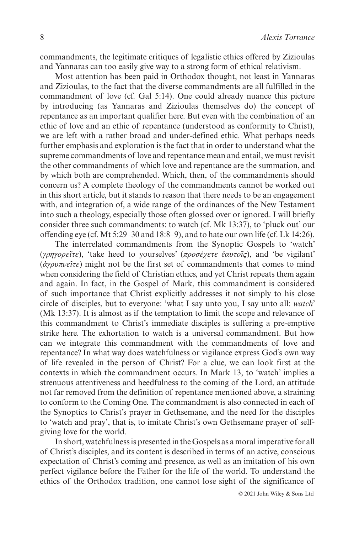commandments, the legitimate critiques of legalistic ethics offered by Zizioulas and Yannaras can too easily give way to a strong form of ethical relativism.

Most attention has been paid in Orthodox thought, not least in Yannaras and Zizioulas, to the fact that the diverse commandments are all fulfilled in the commandment of love (cf. Gal 5:14). One could already nuance this picture by introducing (as Yannaras and Zizioulas themselves do) the concept of repentance as an important qualifier here. But even with the combination of an ethic of love and an ethic of repentance (understood as conformity to Christ), we are left with a rather broad and under-defined ethic. What perhaps needs further emphasis and exploration is the fact that in order to understand what the supreme commandments of love and repentance mean and entail, we must revisit the other commandments of which love and repentance are the summation, and by which both are comprehended. Which, then, of the commandments should concern us? A complete theology of the commandments cannot be worked out in this short article, but it stands to reason that there needs to be an engagement with, and integration of, a wide range of the ordinances of the New Testament into such a theology, especially those often glossed over or ignored. I will briefly consider three such commandments: to watch (cf. Mk 13:37), to 'pluck out' our offending eye (cf. Mt 5:29–30 and 18:8–9), and to hate our own life (cf. Lk 14:26).

The interrelated commandments from the Synoptic Gospels to 'watch' (*γρηγορεῖτε*), 'take heed to yourselves' (*προσέχετε ἑαυτοῖς*), and 'be vigilant' (*ἀγρυπνεῖτε*) might not be the first set of commandments that comes to mind when considering the field of Christian ethics, and yet Christ repeats them again and again. In fact, in the Gospel of Mark, this commandment is considered of such importance that Christ explicitly addresses it not simply to his close circle of disciples, but to everyone: 'what I say unto you, I say unto all: *watch*' (Mk 13:37). It is almost as if the temptation to limit the scope and relevance of this commandment to Christ's immediate disciples is suffering a pre-emptive strike here. The exhortation to watch is a universal commandment. But how can we integrate this commandment with the commandments of love and repentance? In what way does watchfulness or vigilance express God's own way of life revealed in the person of Christ? For a clue, we can look first at the contexts in which the commandment occurs. In Mark 13, to 'watch' implies a strenuous attentiveness and heedfulness to the coming of the Lord, an attitude not far removed from the definition of repentance mentioned above, a straining to conform to the Coming One. The commandment is also connected in each of the Synoptics to Christ's prayer in Gethsemane, and the need for the disciples to 'watch and pray', that is, to imitate Christ's own Gethsemane prayer of selfgiving love for the world.

In short, watchfulness is presented in the Gospels as a moral imperative for all of Christ's disciples, and its content is described in terms of an active, conscious expectation of Christ's coming and presence, as well as an imitation of his own perfect vigilance before the Father for the life of the world. To understand the ethics of the Orthodox tradition, one cannot lose sight of the significance of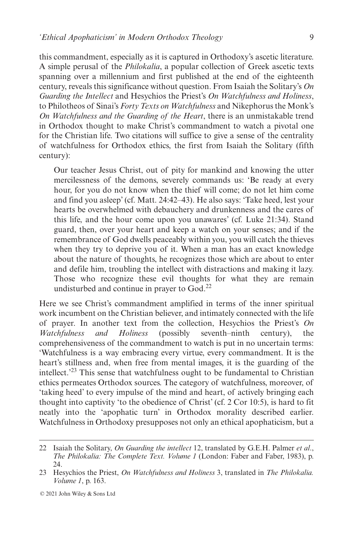this commandment, especially as it is captured in Orthodoxy's ascetic literature. A simple perusal of the *Philokalia*, a popular collection of Greek ascetic texts spanning over a millennium and first published at the end of the eighteenth century, reveals this significance without question. From Isaiah the Solitary's *On Guarding the Intellect* and Hesychios the Priest's *On Watchfulness and Holiness*, to Philotheos of Sinai's *Forty Texts on Watchfulness* and Nikephorus the Monk's *On Watchfulness and the Guarding of the Heart*, there is an unmistakable trend in Orthodox thought to make Christ's commandment to watch a pivotal one for the Christian life. Two citations will suffice to give a sense of the centrality of watchfulness for Orthodox ethics, the first from Isaiah the Solitary (fifth century):

Our teacher Jesus Christ, out of pity for mankind and knowing the utter mercilessness of the demons, severely commands us: 'Be ready at every hour, for you do not know when the thief will come; do not let him come and find you asleep' (cf. Matt. 24:42–43). He also says: 'Take heed, lest your hearts be overwhelmed with debauchery and drunkenness and the cares of this life, and the hour come upon you unawares' (cf. Luke 21:34). Stand guard, then, over your heart and keep a watch on your senses; and if the remembrance of God dwells peaceably within you, you will catch the thieves when they try to deprive you of it. When a man has an exact knowledge about the nature of thoughts, he recognizes those which are about to enter and defile him, troubling the intellect with distractions and making it lazy. Those who recognize these evil thoughts for what they are remain undisturbed and continue in prayer to God.<sup>22</sup>

Here we see Christ's commandment amplified in terms of the inner spiritual work incumbent on the Christian believer, and intimately connected with the life of prayer. In another text from the collection, Hesychios the Priest's *On Watchfulness and Holiness* (possibly seventh–ninth century), the comprehensiveness of the commandment to watch is put in no uncertain terms: 'Watchfulness is a way embracing every virtue, every commandment. It is the heart's stillness and, when free from mental images, it is the guarding of the intellect.'23 This sense that watchfulness ought to be fundamental to Christian ethics permeates Orthodox sources. The category of watchfulness, moreover, of 'taking heed' to every impulse of the mind and heart, of actively bringing each thought into captivity 'to the obedience of Christ' (cf. 2 Cor 10:5), is hard to fit neatly into the 'apophatic turn' in Orthodox morality described earlier. Watchfulness in Orthodoxy presupposes not only an ethical apophaticism, but a

<sup>22</sup> Isaiah the Solitary, *On Guarding the intellect* 12, translated by G.E.H. Palmer *et al*., *The Philokalia: The Complete Text. Volume 1* (London: Faber and Faber, 1983), p. 24.

<sup>23</sup> Hesychios the Priest, *On Watchfulness and Holiness* 3, translated in *The Philokalia. Volume 1*, p. 163.

<sup>© 2021</sup> John Wiley & Sons Ltd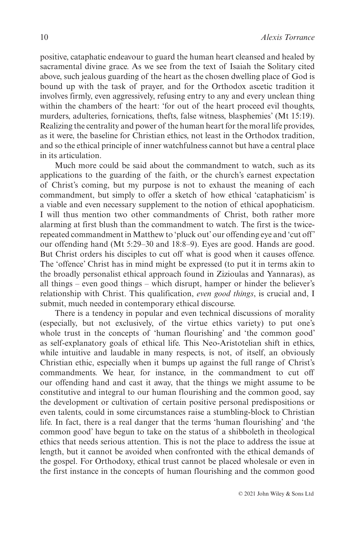positive, cataphatic endeavour to guard the human heart cleansed and healed by sacramental divine grace. As we see from the text of Isaiah the Solitary cited above, such jealous guarding of the heart as the chosen dwelling place of God is bound up with the task of prayer, and for the Orthodox ascetic tradition it involves firmly, even aggressively, refusing entry to any and every unclean thing within the chambers of the heart: 'for out of the heart proceed evil thoughts, murders, adulteries, fornications, thefts, false witness, blasphemies' (Mt 15:19). Realizing the centrality and power of the human heart for the moral life provides, as it were, the baseline for Christian ethics, not least in the Orthodox tradition, and so the ethical principle of inner watchfulness cannot but have a central place in its articulation.

Much more could be said about the commandment to watch, such as its applications to the guarding of the faith, or the church's earnest expectation of Christ's coming, but my purpose is not to exhaust the meaning of each commandment, but simply to offer a sketch of how ethical 'cataphaticism' is a viable and even necessary supplement to the notion of ethical apophaticism. I will thus mention two other commandments of Christ, both rather more alarming at first blush than the commandment to watch. The first is the twicerepeated commandment in Matthew to 'pluck out' our offending eye and 'cut off' our offending hand (Mt 5:29–30 and 18:8–9). Eyes are good. Hands are good. But Christ orders his disciples to cut off what is good when it causes offence. The 'offence' Christ has in mind might be expressed (to put it in terms akin to the broadly personalist ethical approach found in Zizioulas and Yannaras), as all things – even good things – which disrupt, hamper or hinder the believer's relationship with Christ. This qualification, *even good things*, is crucial and, I submit, much needed in contemporary ethical discourse.

There is a tendency in popular and even technical discussions of morality (especially, but not exclusively, of the virtue ethics variety) to put one's whole trust in the concepts of 'human flourishing' and 'the common good' as self-explanatory goals of ethical life. This Neo-Aristotelian shift in ethics, while intuitive and laudable in many respects, is not, of itself, an obviously Christian ethic, especially when it bumps up against the full range of Christ's commandments. We hear, for instance, in the commandment to cut off our offending hand and cast it away, that the things we might assume to be constitutive and integral to our human flourishing and the common good, say the development or cultivation of certain positive personal predispositions or even talents, could in some circumstances raise a stumbling-block to Christian life. In fact, there is a real danger that the terms 'human flourishing' and 'the common good' have begun to take on the status of a shibboleth in theological ethics that needs serious attention. This is not the place to address the issue at length, but it cannot be avoided when confronted with the ethical demands of the gospel. For Orthodoxy, ethical trust cannot be placed wholesale or even in the first instance in the concepts of human flourishing and the common good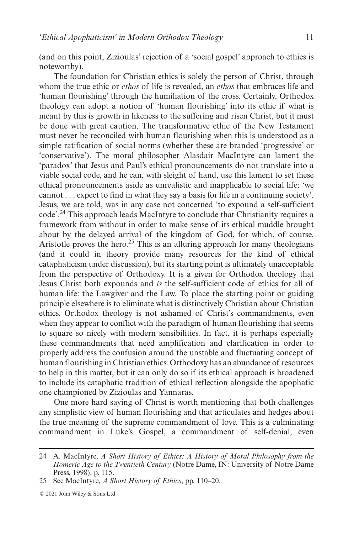(and on this point, Zizioulas' rejection of a 'social gospel' approach to ethics is noteworthy).

The foundation for Christian ethics is solely the person of Christ, through whom the true ethic or *ethos* of life is revealed, an *ethos* that embraces life and 'human flourishing' through the humiliation of the cross. Certainly, Orthodox theology can adopt a notion of 'human flourishing' into its ethic if what is meant by this is growth in likeness to the suffering and risen Christ, but it must be done with great caution. The transformative ethic of the New Testament must never be reconciled with human flourishing when this is understood as a simple ratification of social norms (whether these are branded 'progressive' or 'conservative'). The moral philosopher Alasdair MacIntyre can lament the 'paradox' that Jesus and Paul's ethical pronouncements do not translate into a viable social code, and he can, with sleight of hand, use this lament to set these ethical pronouncements aside as unrealistic and inapplicable to social life: 'we cannot . . . expect to find in what they say a basis for life in a continuing society'. Jesus, we are told, was in any case not concerned 'to expound a self-sufficient code'.24 This approach leads MacIntyre to conclude that Christianity requires a framework from without in order to make sense of its ethical muddle brought about by the delayed arrival of the kingdom of God, for which, of course, Aristotle proves the hero.<sup>25</sup> This is an alluring approach for many theologians (and it could in theory provide many resources for the kind of ethical cataphaticism under discussion), but its starting point is ultimately unacceptable from the perspective of Orthodoxy. It is a given for Orthodox theology that Jesus Christ both expounds and *is* the self-sufficient code of ethics for all of human life: the Lawgiver and the Law. To place the starting point or guiding principle elsewhere is to eliminate what is distinctively Christian about Christian ethics. Orthodox theology is not ashamed of Christ's commandments, even when they appear to conflict with the paradigm of human flourishing that seems to square so nicely with modern sensibilities. In fact, it is perhaps especially these commandments that need amplification and clarification in order to properly address the confusion around the unstable and fluctuating concept of human flourishing in Christian ethics. Orthodoxy has an abundance of resources to help in this matter, but it can only do so if its ethical approach is broadened to include its cataphatic tradition of ethical reflection alongside the apophatic one championed by Zizioulas and Yannaras.

One more hard saying of Christ is worth mentioning that both challenges any simplistic view of human flourishing and that articulates and hedges about the true meaning of the supreme commandment of love. This is a culminating commandment in Luke's Gospel, a commandment of self-denial, even

<sup>24</sup> A. MacIntyre, *A Short History of Ethics: A History of Moral Philosophy from the Homeric Age to the Twentieth Century* (Notre Dame, IN: University of Notre Dame Press, 1998), p. 115.

<sup>25</sup> See MacIntyre, *A Short History of Ethics*, pp. 110–20.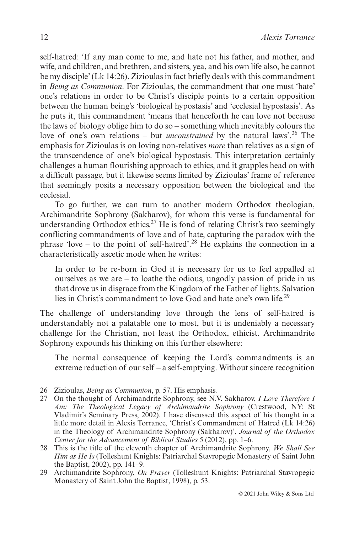self-hatred: 'If any man come to me, and hate not his father, and mother, and wife, and children, and brethren, and sisters, yea, and his own life also, he cannot be my disciple' (Lk 14:26). Zizioulas in fact briefly deals with this commandment in *Being as Communion*. For Zizioulas, the commandment that one must 'hate' one's relations in order to be Christ's disciple points to a certain opposition between the human being's 'biological hypostasis' and 'ecclesial hypostasis'. As he puts it, this commandment 'means that henceforth he can love not because the laws of biology oblige him to do so – something which inevitably colours the love of one's own relations – but *unconstrained* by the natural laws'.<sup>26</sup> The emphasis for Zizioulas is on loving non-relatives *more* than relatives as a sign of the transcendence of one's biological hypostasis. This interpretation certainly challenges a human flourishing approach to ethics, and it grapples head on with a difficult passage, but it likewise seems limited by Zizioulas' frame of reference that seemingly posits a necessary opposition between the biological and the ecclesial.

To go further, we can turn to another modern Orthodox theologian, Archimandrite Sophrony (Sakharov), for whom this verse is fundamental for understanding Orthodox ethics.<sup>27</sup> He is fond of relating Christ's two seemingly conflicting commandments of love and of hate, capturing the paradox with the phrase 'love – to the point of self-hatred'.<sup>28</sup> He explains the connection in a characteristically ascetic mode when he writes:

In order to be re-born in God it is necessary for us to feel appalled at ourselves as we are – to loathe the odious, ungodly passion of pride in us that drove us in disgrace from the Kingdom of the Father of lights. Salvation lies in Christ's commandment to love God and hate one's own life.<sup>29</sup>

The challenge of understanding love through the lens of self-hatred is understandably not a palatable one to most, but it is undeniably a necessary challenge for the Christian, not least the Orthodox, ethicist. Archimandrite Sophrony expounds his thinking on this further elsewhere:

The normal consequence of keeping the Lord's commandments is an extreme reduction of our self – a self-emptying. Without sincere recognition

<sup>26</sup> Zizioulas, *Being as Communion*, p. 57. His emphasis.

<sup>27</sup> On the thought of Archimandrite Sophrony, see N.V. Sakharov, *I Love Therefore I Am: The Theological Legacy of Archimandrite Sophrony* (Crestwood, NY: St Vladimir's Seminary Press, 2002). I have discussed this aspect of his thought in a little more detail in Alexis Torrance, 'Christ's Commandment of Hatred (Lk 14:26) in the Theology of Archimandrite Sophrony (Sakharov)', *Journal of the Orthodox Center for the Advancement of Biblical Studies* 5 (2012), pp. 1–6.

<sup>28</sup> This is the title of the eleventh chapter of Archimandrite Sophrony, *We Shall See Him as He Is* (Tolleshunt Knights: Patriarchal Stavropegic Monastery of Saint John the Baptist, 2002), pp. 141–9.

<sup>29</sup> Archimandrite Sophrony, *On Prayer* (Tolleshunt Knights: Patriarchal Stavropegic Monastery of Saint John the Baptist, 1998), p. 53.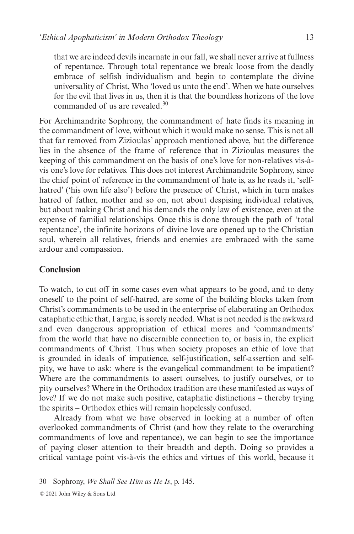that we are indeed devils incarnate in our fall, we shall never arrive at fullness of repentance. Through total repentance we break loose from the deadly embrace of selfish individualism and begin to contemplate the divine universality of Christ, Who 'loved us unto the end'. When we hate ourselves for the evil that lives in us, then it is that the boundless horizons of the love commanded of us are revealed.30

For Archimandrite Sophrony, the commandment of hate finds its meaning in the commandment of love, without which it would make no sense. This is not all that far removed from Zizioulas' approach mentioned above, but the difference lies in the absence of the frame of reference that in Zizioulas measures the keeping of this commandment on the basis of one's love for non-relatives vis-àvis one's love for relatives. This does not interest Archimandrite Sophrony, since the chief point of reference in the commandment of hate is, as he reads it, 'selfhatred' ('his own life also') before the presence of Christ, which in turn makes hatred of father, mother and so on, not about despising individual relatives, but about making Christ and his demands the only law of existence, even at the expense of familial relationships. Once this is done through the path of 'total repentance', the infinite horizons of divine love are opened up to the Christian soul, wherein all relatives, friends and enemies are embraced with the same ardour and compassion.

#### **Conclusion**

To watch, to cut off in some cases even what appears to be good, and to deny oneself to the point of self-hatred, are some of the building blocks taken from Christ's commandments to be used in the enterprise of elaborating an Orthodox cataphatic ethic that, I argue, is sorely needed. What is not needed is the awkward and even dangerous appropriation of ethical mores and 'commandments' from the world that have no discernible connection to, or basis in, the explicit commandments of Christ. Thus when society proposes an ethic of love that is grounded in ideals of impatience, self-justification, self-assertion and selfpity, we have to ask: where is the evangelical commandment to be impatient? Where are the commandments to assert ourselves, to justify ourselves, or to pity ourselves? Where in the Orthodox tradition are these manifested as ways of love? If we do not make such positive, cataphatic distinctions – thereby trying the spirits – Orthodox ethics will remain hopelessly confused.

Already from what we have observed in looking at a number of often overlooked commandments of Christ (and how they relate to the overarching commandments of love and repentance), we can begin to see the importance of paying closer attention to their breadth and depth. Doing so provides a critical vantage point vis-à-vis the ethics and virtues of this world, because it

<sup>30</sup> Sophrony, *We Shall See Him as He Is*, p. 145.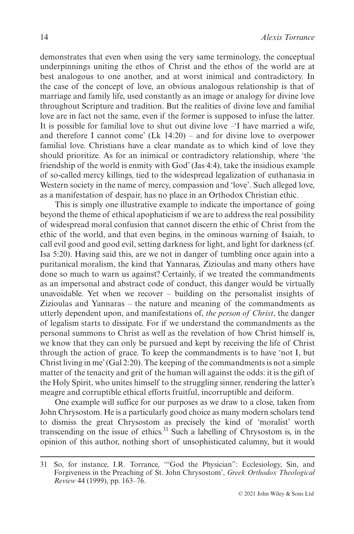demonstrates that even when using the very same terminology, the conceptual underpinnings uniting the ethos of Christ and the ethos of the world are at best analogous to one another, and at worst inimical and contradictory. In the case of the concept of love, an obvious analogous relationship is that of marriage and family life, used constantly as an image or analogy for divine love throughout Scripture and tradition. But the realities of divine love and familial love are in fact not the same, even if the former is supposed to infuse the latter. It is possible for familial love to shut out divine love –'I have married a wife, and therefore I cannot come' (Lk 14:20) – and for divine love to overpower familial love. Christians have a clear mandate as to which kind of love they should prioritize. As for an inimical or contradictory relationship, where 'the friendship of the world is enmity with God' (Jas 4:4), take the insidious example of so-called mercy killings, tied to the widespread legalization of euthanasia in Western society in the name of mercy, compassion and 'love'. Such alleged love, as a manifestation of despair, has no place in an Orthodox Christian ethic.

This is simply one illustrative example to indicate the importance of going beyond the theme of ethical apophaticism if we are to address the real possibility of widespread moral confusion that cannot discern the ethic of Christ from the ethic of the world, and that even begins, in the ominous warning of Isaiah, to call evil good and good evil, setting darkness for light, and light for darkness (cf. Isa 5:20). Having said this, are we not in danger of tumbling once again into a puritanical moralism, the kind that Yannaras, Zizioulas and many others have done so much to warn us against? Certainly, if we treated the commandments as an impersonal and abstract code of conduct, this danger would be virtually unavoidable. Yet when we recover – building on the personalist insights of Zizioulas and Yannaras – the nature and meaning of the commandments as utterly dependent upon, and manifestations of, *the person of Christ*, the danger of legalism starts to dissipate. For if we understand the commandments as the personal summons to Christ as well as the revelation of how Christ himself is, we know that they can only be pursued and kept by receiving the life of Christ through the action of grace. To keep the commandments is to have 'not I, but Christ living in me' (Gal 2:20). The keeping of the commandments is not a simple matter of the tenacity and grit of the human will against the odds: it is the gift of the Holy Spirit, who unites himself to the struggling sinner, rendering the latter's meagre and corruptible ethical efforts fruitful, incorruptible and deiform.

One example will suffice for our purposes as we draw to a close, taken from John Chrysostom. He is a particularly good choice as many modern scholars tend to dismiss the great Chrysostom as precisely the kind of 'moralist' worth transcending on the issue of ethics.<sup>31</sup> Such a labelling of Chrysostom is, in the opinion of this author, nothing short of unsophisticated calumny, but it would

<sup>31</sup> So, for instance, I.R. Torrance, '"God the Physician": Ecclesiology, Sin, and Forgiveness in the Preaching of St. John Chrysostom', *Greek Orthodox Theological Review* 44 (1999), pp. 163–76.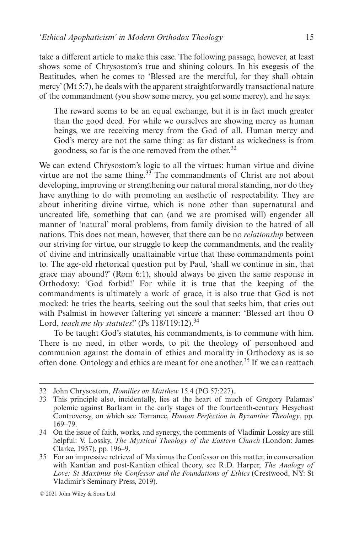take a different article to make this case. The following passage, however, at least shows some of Chrysostom's true and shining colours. In his exegesis of the Beatitudes, when he comes to 'Blessed are the merciful, for they shall obtain mercy' (Mt 5:7), he deals with the apparent straightforwardly transactional nature of the commandment (you show some mercy, you get some mercy), and he says:

The reward seems to be an equal exchange, but it is in fact much greater than the good deed. For while we ourselves are showing mercy as human beings, we are receiving mercy from the God of all. Human mercy and God's mercy are not the same thing: as far distant as wickedness is from goodness, so far is the one removed from the other.<sup>32</sup>

We can extend Chrysostom's logic to all the virtues: human virtue and divine virtue are not the same thing. $33$  The commandments of Christ are not about developing, improving or strengthening our natural moral standing, nor do they have anything to do with promoting an aesthetic of respectability. They are about inheriting divine virtue, which is none other than supernatural and uncreated life, something that can (and we are promised will) engender all manner of 'natural' moral problems, from family division to the hatred of all nations. This does not mean, however, that there can be no *relationship* between our striving for virtue, our struggle to keep the commandments, and the reality of divine and intrinsically unattainable virtue that these commandments point to. The age-old rhetorical question put by Paul, 'shall we continue in sin, that grace may abound?' (Rom 6:1), should always be given the same response in Orthodoxy: 'God forbid!' For while it is true that the keeping of the commandments is ultimately a work of grace, it is also true that God is not mocked: he tries the hearts, seeking out the soul that seeks him, that cries out with Psalmist in however faltering yet sincere a manner: 'Blessed art thou O Lord, *teach me thy statutes*!' (Ps 118/119:12).<sup>34</sup>

To be taught God's statutes, his commandments, is to commune with him. There is no need, in other words, to pit the theology of personhood and communion against the domain of ethics and morality in Orthodoxy as is so often done. Ontology and ethics are meant for one another.35 If we can reattach

<sup>32</sup> John Chrysostom, *Homilies on Matthew* 15.4 (PG 57:227).

<sup>33</sup> This principle also, incidentally, lies at the heart of much of Gregory Palamas' polemic against Barlaam in the early stages of the fourteenth-century Hesychast Controversy, on which see Torrance, *Human Perfection in Byzantine Theology*, pp. 169–79.

<sup>34</sup> On the issue of faith, works, and synergy, the comments of Vladimir Lossky are still helpful: V. Lossky, *The Mystical Theology of the Eastern Church* (London: James Clarke, 1957), pp. 196–9.

<sup>35</sup> For an impressive retrieval of Maximus the Confessor on this matter, in conversation with Kantian and post-Kantian ethical theory, see R.D. Harper, *The Analogy of Love: St Maximus the Confessor and the Foundations of Ethics* (Crestwood, NY: St Vladimir's Seminary Press, 2019).